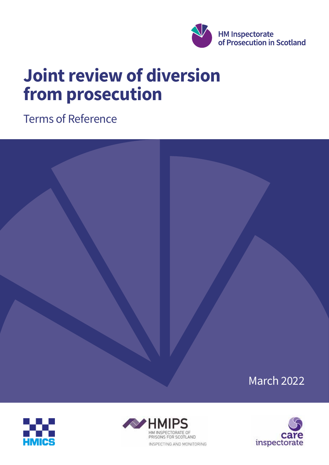

# **Joint review of diversion from prosecution**

Terms of Reference







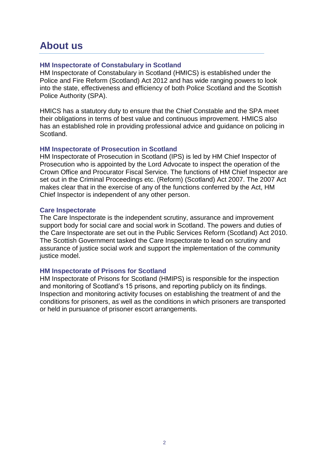### **About us**

#### **HM Inspectorate of Constabulary in Scotland**

HM Inspectorate of Constabulary in Scotland (HMICS) is established under the Police and Fire Reform (Scotland) Act 2012 and has wide ranging powers to look into the state, effectiveness and efficiency of both Police Scotland and the Scottish Police Authority (SPA).

HMICS has a statutory duty to ensure that the Chief Constable and the SPA meet their obligations in terms of best value and continuous improvement. HMICS also has an established role in providing professional advice and guidance on policing in Scotland.

#### **HM Inspectorate of Prosecution in Scotland**

HM Inspectorate of Prosecution in Scotland (IPS) is led by HM Chief Inspector of Prosecution who is appointed by the Lord Advocate to inspect the operation of the Crown Office and Procurator Fiscal Service. The functions of HM Chief Inspector are set out in the Criminal Proceedings etc. (Reform) (Scotland) Act 2007. The 2007 Act makes clear that in the exercise of any of the functions conferred by the Act, HM Chief Inspector is independent of any other person.

#### **Care Inspectorate**

The Care Inspectorate is the independent scrutiny, assurance and improvement support body for social care and social work in Scotland. The powers and duties of the Care Inspectorate are set out in the Public Services Reform (Scotland) Act 2010. The Scottish Government tasked the Care Inspectorate to lead on scrutiny and assurance of justice social work and support the implementation of the community justice model.

#### **HM Inspectorate of Prisons for Scotland**

HM Inspectorate of Prisons for Scotland (HMIPS) is responsible for the inspection and monitoring of Scotland's 15 prisons, and reporting publicly on its findings. Inspection and monitoring activity focuses on establishing the treatment of and the conditions for prisoners, as well as the conditions in which prisoners are transported or held in pursuance of prisoner escort arrangements.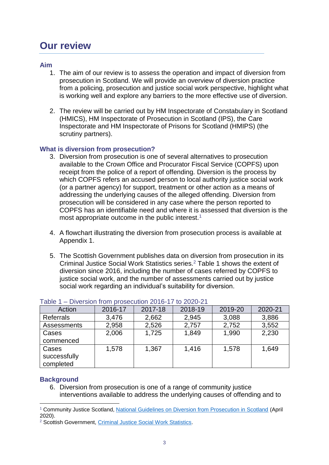# **Our review**

#### **Aim**

- 1. The aim of our review is to assess the operation and impact of diversion from prosecution in Scotland. We will provide an overview of diversion practice from a policing, prosecution and justice social work perspective, highlight what is working well and explore any barriers to the more effective use of diversion.
- 2. The review will be carried out by HM Inspectorate of Constabulary in Scotland (HMICS), HM Inspectorate of Prosecution in Scotland (IPS), the Care Inspectorate and HM Inspectorate of Prisons for Scotland (HMIPS) (the scrutiny partners).

#### **What is diversion from prosecution?**

- 3. Diversion from prosecution is one of several alternatives to prosecution available to the Crown Office and Procurator Fiscal Service (COPFS) upon receipt from the police of a report of offending. Diversion is the process by which COPFS refers an accused person to local authority justice social work (or a partner agency) for support, treatment or other action as a means of addressing the underlying causes of the alleged offending. Diversion from prosecution will be considered in any case where the person reported to COPFS has an identifiable need and where it is assessed that diversion is the most appropriate outcome in the public interest.<sup>1</sup>
- 4. A flowchart illustrating the diversion from prosecution process is available at Appendix 1.
- 5. The Scottish Government publishes data on diversion from prosecution in its Criminal Justice Social Work Statistics series.<sup>2</sup> Table 1 shows the extent of diversion since 2016, including the number of cases referred by COPFS to justice social work, and the number of assessments carried out by justice social work regarding an individual's suitability for diversion.

| Action             | 2016-17 | 2017-18 | 2018-19 | 2019-20 | 2020-21 |
|--------------------|---------|---------|---------|---------|---------|
| <b>Referrals</b>   | 3,476   | 2,662   | 2,945   | 3,088   | 3,886   |
| <b>Assessments</b> | 2,958   | 2,526   | 2,757   | 2,752   | 3,552   |
| Cases              | 2,006   | 1,725   | 1,849   | 1,990   | 2,230   |
| commenced          |         |         |         |         |         |
| Cases              | 1,578   | 1,367   | 1,416   | 1,578   | 1,649   |
| successfully       |         |         |         |         |         |
| completed          |         |         |         |         |         |

#### Table 1 – Diversion from prosecution 2016-17 to 2020-21

#### **Background**

-

6. Diversion from prosecution is one of a range of community justice interventions available to address the underlying causes of offending and to

<sup>1</sup> Community Justice Scotland, [National Guidelines on Diversion from Prosecution in Scotland](https://communityjustice.scot/wp-content/uploads/2020/06/Diversion-from-Prosecution-Guidance-Version-4.0-FINAL-VERSION-April-2020.pdf) (April 2020).

<sup>&</sup>lt;sup>2</sup> Scottish Government, [Criminal Justice Social Work Statistics.](https://www.gov.scot/collections/criminal-justice-social-work/)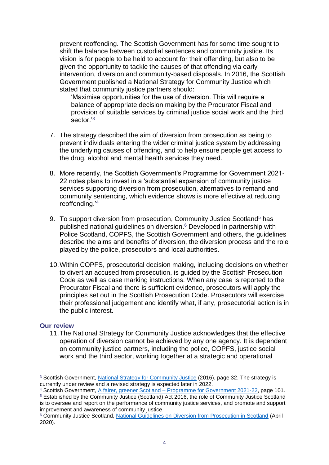prevent reoffending. The Scottish Government has for some time sought to shift the balance between custodial sentences and community justice. Its vision is for people to be held to account for their offending, but also to be given the opportunity to tackle the causes of that offending via early intervention, diversion and community-based disposals. In 2016, the Scottish Government published a National Strategy for Community Justice which stated that community justice partners should:

'Maximise opportunities for the use of diversion. This will require a balance of appropriate decision making by the Procurator Fiscal and provision of suitable services by criminal justice social work and the third sector<sup>'3</sup>

- 7. The strategy described the aim of diversion from prosecution as being to prevent individuals entering the wider criminal justice system by addressing the underlying causes of offending, and to help ensure people get access to the drug, alcohol and mental health services they need.
- 8. More recently, the Scottish Government's Programme for Government 2021- 22 notes plans to invest in a 'substantial expansion of community justice services supporting diversion from prosecution, alternatives to remand and community sentencing, which evidence shows is more effective at reducing reoffending.'<sup>4</sup>
- 9. To support diversion from prosecution, Community Justice Scotland<sup>5</sup> has published national guidelines on diversion.<sup>6</sup> Developed in partnership with Police Scotland, COPFS, the Scottish Government and others, the guidelines describe the aims and benefits of diversion, the diversion process and the role played by the police, prosecutors and local authorities.
- 10.Within COPFS, prosecutorial decision making, including decisions on whether to divert an accused from prosecution, is guided by the Scottish Prosecution Code as well as case marking instructions. When any case is reported to the Procurator Fiscal and there is sufficient evidence, prosecutors will apply the principles set out in the Scottish Prosecution Code. Prosecutors will exercise their professional judgement and identify what, if any, prosecutorial action is in the public interest.

#### **Our review**

-

11.The National Strategy for Community Justice acknowledges that the effective operation of diversion cannot be achieved by any one agency. It is dependent on community justice partners, including the police, COPFS, justice social work and the third sector, working together at a strategic and operational

4 Scottish Government, A fairer, greener Scotland – [Programme for Government 2021-22,](https://www.gov.scot/binaries/content/documents/govscot/publications/strategy-plan/2021/09/fairer-greener-scotland-programme-government-2021-22/documents/fairer-greener-scotland-programme-government-2021-22/fairer-greener-scotland-programme-government-2021-22/govscot%3Adocument/fairer-greener-scotland-programme-government-2021-22.pdf?forceDownload=true) page 101.

<sup>&</sup>lt;sup>3</sup> Scottish Government, [National Strategy for Community Justice](https://www.gov.scot/binaries/content/documents/govscot/publications/strategy-plan/2016/11/national-strategy-community-justice/documents/00510489-pdf/00510489-pdf/govscot%3Adocument/00510489.pdf?forceDownload=true) (2016), page 32. The strategy is currently under review and a revised strategy is expected later in 2022.

<sup>&</sup>lt;sup>5</sup> Established by the Community Justice (Scotland) Act 2016, the role of Community Justice Scotland is to oversee and report on the performance of community justice services, and promote and support improvement and awareness of community justice.

<sup>6</sup> Community Justice Scotland, [National Guidelines on Diversion from Prosecution in Scotland](https://communityjustice.scot/wp-content/uploads/2020/06/Diversion-from-Prosecution-Guidance-Version-4.0-FINAL-VERSION-April-2020.pdf) (April 2020).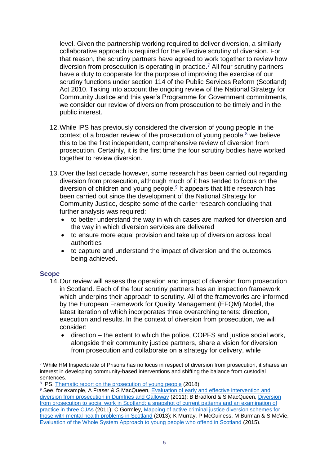level. Given the partnership working required to deliver diversion, a similarly collaborative approach is required for the effective scrutiny of diversion. For that reason, the scrutiny partners have agreed to work together to review how diversion from prosecution is operating in practice.<sup>7</sup> All four scrutiny partners have a duty to cooperate for the purpose of improving the exercise of our scrutiny functions under section 114 of the Public Services Reform (Scotland) Act 2010. Taking into account the ongoing review of the National Strategy for Community Justice and this year's Programme for Government commitments, we consider our review of diversion from prosecution to be timely and in the public interest.

- 12.While IPS has previously considered the diversion of young people in the context of a broader review of the prosecution of young people, $8$  we believe this to be the first independent, comprehensive review of diversion from prosecution. Certainly, it is the first time the four scrutiny bodies have worked together to review diversion.
- 13.Over the last decade however, some research has been carried out regarding diversion from prosecution, although much of it has tended to focus on the diversion of children and young people. $9$  It appears that little research has been carried out since the development of the National Strategy for Community Justice, despite some of the earlier research concluding that further analysis was required:
	- to better understand the way in which cases are marked for diversion and the way in which diversion services are delivered
	- to ensure more equal provision and take up of diversion across local authorities
	- to capture and understand the impact of diversion and the outcomes being achieved.

#### **Scope**

-

- 14.Our review will assess the operation and impact of diversion from prosecution in Scotland. Each of the four scrutiny partners has an inspection framework which underpins their approach to scrutiny. All of the frameworks are informed by the European Framework for Quality Management (EFQM) Model, the latest iteration of which incorporates three overarching tenets: direction, execution and results. In the context of diversion from prosecution, we will consider:
	- direction the extent to which the police, COPFS and justice social work, alongside their community justice partners, share a vision for diversion from prosecution and collaborate on a strategy for delivery, while

<sup>7</sup> While HM Inspectorate of Prisons has no locus in respect of diversion from prosecution, it shares an interest in developing community-based interventions and shifting the balance from custodial sentences.

<sup>&</sup>lt;sup>8</sup> IPS, [Thematic report on the prosecution of young people](https://www.gov.scot/binaries/content/documents/govscot/publications/corporate-report/2018/11/thematic-report-prosecution-young-people/documents/00543365-pdf/00543365-pdf/govscot%3Adocument/00543365.pdf?forceDownload=true) (2018).

<sup>9</sup> See, for example, A Fraser & S MacQueen, Evaluation of early and effective intervention and [diversion from prosecution in Dumfries and Galloway](https://www.pure.ed.ac.uk/ws/portalfiles/portal/14182479/Fraser_MacQueen_Evaluation_of_Early_and_Effective_Intervention_EEI_and_Diversion_from_Prosecution_in_Dumfries_and_Galloway.pdf) (2011); B Bradford & S MacQueen, [Diversion](http://www.sccjr.ac.uk/wp-content/uploads/2012/10/Diversion%20from%20prosecution.pdf)  [from prosecution to social work in Scotland: a snapshot of current patterns and an examination of](http://www.sccjr.ac.uk/wp-content/uploads/2012/10/Diversion%20from%20prosecution.pdf)  [practice in three CJAs](http://www.sccjr.ac.uk/wp-content/uploads/2012/10/Diversion%20from%20prosecution.pdf) (2011); C Gormley, [Mapping of active criminal justice diversion schemes for](https://www.sccjr.ac.uk/wp-content/uploads/2014/01/Mapping-of-Active-Diversion-Schemes-Report.pdf)  [those with mental health problems in Scotland](https://www.sccjr.ac.uk/wp-content/uploads/2014/01/Mapping-of-Active-Diversion-Schemes-Report.pdf) (2013); K Murray, P McGuiness, M Burman & S McVie, [Evaluation of the Whole System Approach to young people who offend in Scotland](https://dera.ioe.ac.uk/23242/1/00479272.pdf) (2015).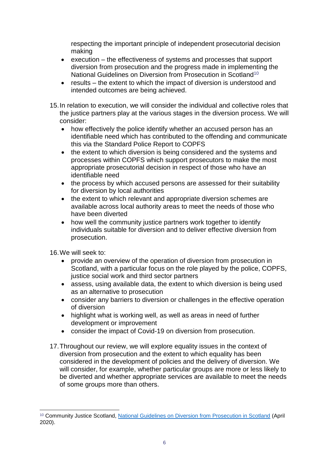respecting the important principle of independent prosecutorial decision making

- execution the effectiveness of systems and processes that support diversion from prosecution and the progress made in implementing the National Guidelines on Diversion from Prosecution in Scotland<sup>10</sup>
- results the extent to which the impact of diversion is understood and intended outcomes are being achieved.
- 15.In relation to execution, we will consider the individual and collective roles that the justice partners play at the various stages in the diversion process. We will consider:
	- how effectively the police identify whether an accused person has an identifiable need which has contributed to the offending and communicate this via the Standard Police Report to COPFS
	- the extent to which diversion is being considered and the systems and processes within COPFS which support prosecutors to make the most appropriate prosecutorial decision in respect of those who have an identifiable need
	- the process by which accused persons are assessed for their suitability for diversion by local authorities
	- the extent to which relevant and appropriate diversion schemes are available across local authority areas to meet the needs of those who have been diverted
	- how well the community justice partners work together to identify individuals suitable for diversion and to deliver effective diversion from prosecution.

16.We will seek to:

- provide an overview of the operation of diversion from prosecution in Scotland, with a particular focus on the role played by the police, COPFS, justice social work and third sector partners
- assess, using available data, the extent to which diversion is being used as an alternative to prosecution
- consider any barriers to diversion or challenges in the effective operation of diversion
- highlight what is working well, as well as areas in need of further development or improvement
- consider the impact of Covid-19 on diversion from prosecution.
- 17.Throughout our review, we will explore equality issues in the context of diversion from prosecution and the extent to which equality has been considered in the development of policies and the delivery of diversion. We will consider, for example, whether particular groups are more or less likely to be diverted and whether appropriate services are available to meet the needs of some groups more than others.

<sup>-</sup><sup>10</sup> Community Justice Scotland, [National Guidelines on Diversion from Prosecution in Scotland](https://communityjustice.scot/wp-content/uploads/2020/06/Diversion-from-Prosecution-Guidance-Version-4.0-FINAL-VERSION-April-2020.pdf) (April 2020).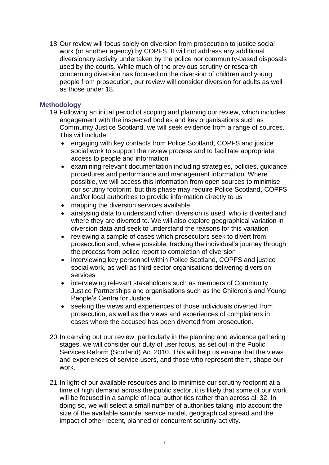18.Our review will focus solely on diversion from prosecution to justice social work (or another agency) by COPFS. It will not address any additional diversionary activity undertaken by the police nor community-based disposals used by the courts. While much of the previous scrutiny or research concerning diversion has focused on the diversion of children and young people from prosecution, our review will consider diversion for adults as well as those under 18.

#### **Methodology**

- 19.Following an initial period of scoping and planning our review, which includes engagement with the inspected bodies and key organisations such as Community Justice Scotland, we will seek evidence from a range of sources. This will include:
	- engaging with key contacts from Police Scotland, COPFS and justice social work to support the review process and to facilitate appropriate access to people and information
	- examining relevant documentation including strategies, policies, guidance, procedures and performance and management information. Where possible, we will access this information from open sources to minimise our scrutiny footprint, but this phase may require Police Scotland, COPFS and/or local authorities to provide information directly to us
	- mapping the diversion services available
	- analysing data to understand when diversion is used, who is diverted and where they are diverted to. We will also explore geographical variation in diversion data and seek to understand the reasons for this variation
	- reviewing a sample of cases which prosecutors seek to divert from prosecution and, where possible, tracking the individual's journey through the process from police report to completion of diversion
	- interviewing key personnel within Police Scotland, COPFS and justice social work, as well as third sector organisations delivering diversion services
	- interviewing relevant stakeholders such as members of Community Justice Partnerships and organisations such as the Children's and Young People's Centre for Justice
	- seeking the views and experiences of those individuals diverted from prosecution, as well as the views and experiences of complainers in cases where the accused has been diverted from prosecution.
- 20.In carrying out our review, particularly in the planning and evidence gathering stages, we will consider our duty of user focus, as set out in the Public Services Reform (Scotland) Act 2010. This will help us ensure that the views and experiences of service users, and those who represent them, shape our work.
- 21.In light of our available resources and to minimise our scrutiny footprint at a time of high demand across the public sector, it is likely that some of our work will be focused in a sample of local authorities rather than across all 32. In doing so, we will select a small number of authorities taking into account the size of the available sample, service model, geographical spread and the impact of other recent, planned or concurrent scrutiny activity.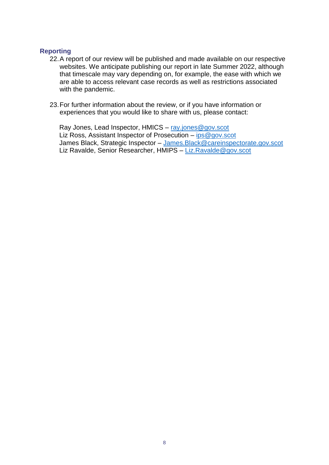#### **Reporting**

- 22.A report of our review will be published and made available on our respective websites. We anticipate publishing our report in late Summer 2022, although that timescale may vary depending on, for example, the ease with which we are able to access relevant case records as well as restrictions associated with the pandemic.
- 23.For further information about the review, or if you have information or experiences that you would like to share with us, please contact:

Ray Jones, Lead Inspector, HMICS - [ray.jones@gov.scot](mailto:ray.jones@gov.scot) Liz Ross, Assistant Inspector of Prosecution - [ips@gov.scot](mailto:ips@gov.scot) James Black, Strategic Inspector – [James.Black@careinspectorate.gov.scot](mailto:James.Black@careinspectorate.gov.scot) Liz Ravalde, Senior Researcher, HMIPS – [Liz.Ravalde@gov.scot](mailto:Liz.Ravalde@gov.scot)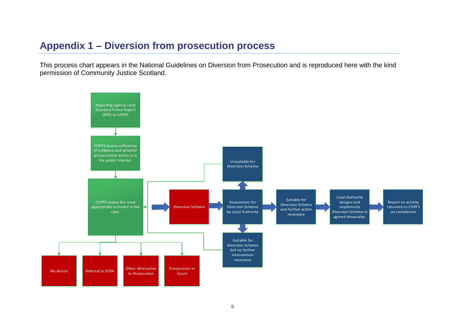## **Appendix 1 – Diversion from prosecution process**

This process chart appears in the National Guidelines on Diversion from Prosecution and is reproduced here with the kind permission of Community Justice Scotland.